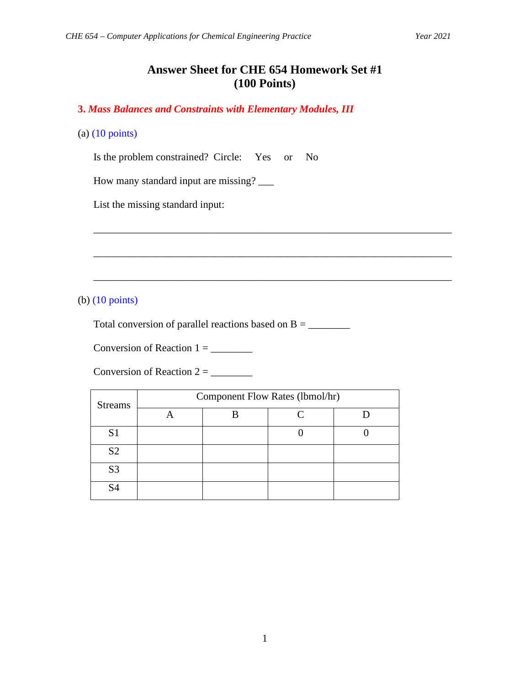# **Answer Sheet for CHE 654 Homework Set #1 (100 Points)**

\_\_\_\_\_\_\_\_\_\_\_\_\_\_\_\_\_\_\_\_\_\_\_\_\_\_\_\_\_\_\_\_\_\_\_\_\_\_\_\_\_\_\_\_\_\_\_\_\_\_\_\_\_\_\_\_\_\_\_\_\_\_\_\_\_\_\_\_\_

\_\_\_\_\_\_\_\_\_\_\_\_\_\_\_\_\_\_\_\_\_\_\_\_\_\_\_\_\_\_\_\_\_\_\_\_\_\_\_\_\_\_\_\_\_\_\_\_\_\_\_\_\_\_\_\_\_\_\_\_\_\_\_\_\_\_\_\_\_

\_\_\_\_\_\_\_\_\_\_\_\_\_\_\_\_\_\_\_\_\_\_\_\_\_\_\_\_\_\_\_\_\_\_\_\_\_\_\_\_\_\_\_\_\_\_\_\_\_\_\_\_\_\_\_\_\_\_\_\_\_\_\_\_\_\_\_\_\_

**3.** *Mass Balances and Constraints with Elementary Modules, III*

#### (a) (10 points)

Is the problem constrained? Circle: Yes or No

How many standard input are missing? \_\_\_\_

List the missing standard input:

(b) (10 points)

Total conversion of parallel reactions based on  $B = \_$ 

Conversion of Reaction  $1 = \_$ 

Conversion of Reaction  $2 = \_$ 

| <b>Streams</b> | Component Flow Rates (lbmol/hr) |  |  |  |  |
|----------------|---------------------------------|--|--|--|--|
|                |                                 |  |  |  |  |
| S <sub>1</sub> |                                 |  |  |  |  |
| S <sub>2</sub> |                                 |  |  |  |  |
| S <sub>3</sub> |                                 |  |  |  |  |
| S <sub>4</sub> |                                 |  |  |  |  |